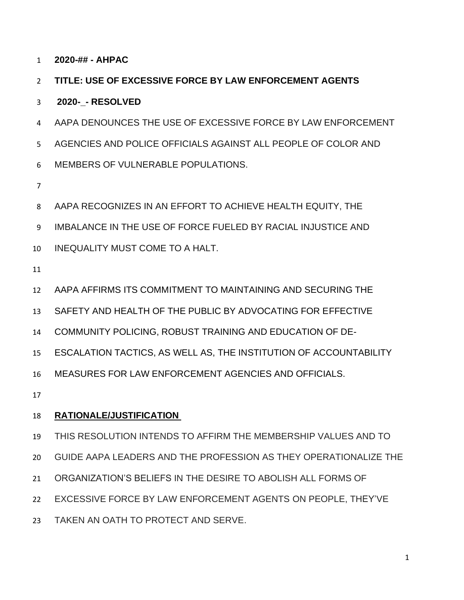**2020-## - AHPAC**

## **TITLE: USE OF EXCESSIVE FORCE BY LAW ENFORCEMENT AGENTS**

### **2020-\_- RESOLVED**

 AAPA DENOUNCES THE USE OF EXCESSIVE FORCE BY LAW ENFORCEMENT AGENCIES AND POLICE OFFICIALS AGAINST ALL PEOPLE OF COLOR AND MEMBERS OF VULNERABLE POPULATIONS.

- 
- AAPA RECOGNIZES IN AN EFFORT TO ACHIEVE HEALTH EQUITY, THE

IMBALANCE IN THE USE OF FORCE FUELED BY RACIAL INJUSTICE AND

- INEQUALITY MUST COME TO A HALT.
- 

AAPA AFFIRMS ITS COMMITMENT TO MAINTAINING AND SECURING THE

SAFETY AND HEALTH OF THE PUBLIC BY ADVOCATING FOR EFFECTIVE

COMMUNITY POLICING, ROBUST TRAINING AND EDUCATION OF DE-

ESCALATION TACTICS, AS WELL AS, THE INSTITUTION OF ACCOUNTABILITY

MEASURES FOR LAW ENFORCEMENT AGENCIES AND OFFICIALS.

# **RATIONALE/JUSTIFICATION**

- THIS RESOLUTION INTENDS TO AFFIRM THE MEMBERSHIP VALUES AND TO
- GUIDE AAPA LEADERS AND THE PROFESSION AS THEY OPERATIONALIZE THE
- ORGANIZATION'S BELIEFS IN THE DESIRE TO ABOLISH ALL FORMS OF
- EXCESSIVE FORCE BY LAW ENFORCEMENT AGENTS ON PEOPLE, THEY'VE
- TAKEN AN OATH TO PROTECT AND SERVE.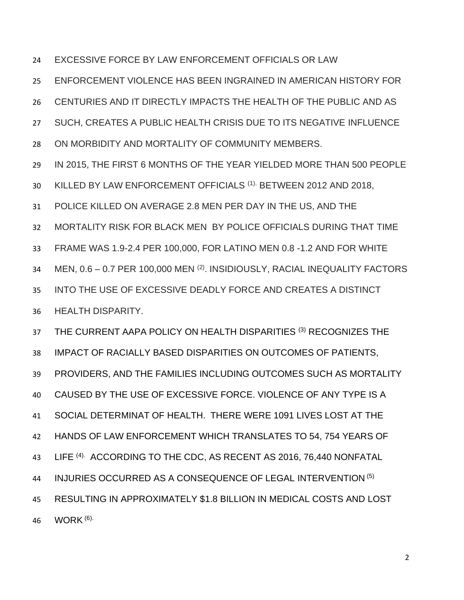EXCESSIVE FORCE BY LAW ENFORCEMENT OFFICIALS OR LAW

ENFORCEMENT VIOLENCE HAS BEEN INGRAINED IN AMERICAN HISTORY FOR

CENTURIES AND IT DIRECTLY IMPACTS THE HEALTH OF THE PUBLIC AND AS

SUCH, CREATES A PUBLIC HEALTH CRISIS DUE TO ITS NEGATIVE INFLUENCE

ON MORBIDITY AND MORTALITY OF COMMUNITY MEMBERS.

IN 2015, THE FIRST 6 MONTHS OF THE YEAR YIELDED MORE THAN 500 PEOPLE

30 KILLED BY LAW ENFORCEMENT OFFICIALS <sup>(1).</sup> BETWEEN 2012 AND 2018,

POLICE KILLED ON AVERAGE 2.8 MEN PER DAY IN THE US, AND THE

MORTALITY RISK FOR BLACK MEN BY POLICE OFFICIALS DURING THAT TIME

FRAME WAS 1.9-2.4 PER 100,000, FOR LATINO MEN 0.8 -1.2 AND FOR WHITE

34 MEN, 0.6 - 0.7 PER 100,000 MEN <sup>(2)</sup>. INSIDIOUSLY, RACIAL INEQUALITY FACTORS

INTO THE USE OF EXCESSIVE DEADLY FORCE AND CREATES A DISTINCT

HEALTH DISPARITY.

37 THE CURRENT AAPA POLICY ON HEALTH DISPARITIES (3) RECOGNIZES THE

IMPACT OF RACIALLY BASED DISPARITIES ON OUTCOMES OF PATIENTS,

PROVIDERS, AND THE FAMILIES INCLUDING OUTCOMES SUCH AS MORTALITY

CAUSED BY THE USE OF EXCESSIVE FORCE. VIOLENCE OF ANY TYPE IS A

SOCIAL DETERMINAT OF HEALTH. THERE WERE 1091 LIVES LOST AT THE

HANDS OF LAW ENFORCEMENT WHICH TRANSLATES TO 54, 754 YEARS OF

43 LIFE <sup>(4).</sup> ACCORDING TO THE CDC, AS RECENT AS 2016, 76,440 NONFATAL

44 INJURIES OCCURRED AS A CONSEQUENCE OF LEGAL INTERVENTION (5)

 RESULTING IN APPROXIMATELY \$1.8 BILLION IN MEDICAL COSTS AND LOST **WORK** (6).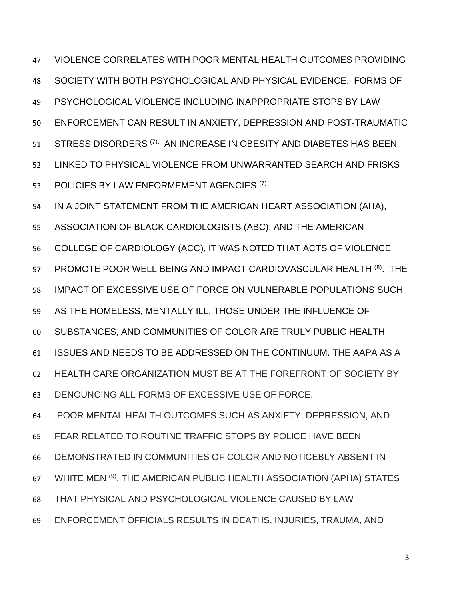VIOLENCE CORRELATES WITH POOR MENTAL HEALTH OUTCOMES PROVIDING SOCIETY WITH BOTH PSYCHOLOGICAL AND PHYSICAL EVIDENCE. FORMS OF PSYCHOLOGICAL VIOLENCE INCLUDING INAPPROPRIATE STOPS BY LAW ENFORCEMENT CAN RESULT IN ANXIETY, DEPRESSION AND POST-TRAUMATIC 51 STRESS DISORDERS <sup>(7).</sup> AN INCREASE IN OBESITY AND DIABETES HAS BEEN LINKED TO PHYSICAL VIOLENCE FROM UNWARRANTED SEARCH AND FRISKS 53 POLICIES BY LAW ENFORMEMENT AGENCIES <sup>(7)</sup>. IN A JOINT STATEMENT FROM THE AMERICAN HEART ASSOCIATION (AHA), ASSOCIATION OF BLACK CARDIOLOGISTS (ABC), AND THE AMERICAN COLLEGE OF CARDIOLOGY (ACC), IT WAS NOTED THAT ACTS OF VIOLENCE 57 PROMOTE POOR WELL BEING AND IMPACT CARDIOVASCULAR HEALTH (8). THE IMPACT OF EXCESSIVE USE OF FORCE ON VULNERABLE POPULATIONS SUCH AS THE HOMELESS, MENTALLY ILL, THOSE UNDER THE INFLUENCE OF SUBSTANCES, AND COMMUNITIES OF COLOR ARE TRULY PUBLIC HEALTH ISSUES AND NEEDS TO BE ADDRESSED ON THE CONTINUUM. THE AAPA AS A HEALTH CARE ORGANIZATION MUST BE AT THE FOREFRONT OF SOCIETY BY DENOUNCING ALL FORMS OF EXCESSIVE USE OF FORCE. POOR MENTAL HEALTH OUTCOMES SUCH AS ANXIETY, DEPRESSION, AND FEAR RELATED TO ROUTINE TRAFFIC STOPS BY POLICE HAVE BEEN

- DEMONSTRATED IN COMMUNITIES OF COLOR AND NOTICEBLY ABSENT IN
- 67 WHITE MEN (9). THE AMERICAN PUBLIC HEALTH ASSOCIATION (APHA) STATES
- THAT PHYSICAL AND PSYCHOLOGICAL VIOLENCE CAUSED BY LAW
- ENFORCEMENT OFFICIALS RESULTS IN DEATHS, INJURIES, TRAUMA, AND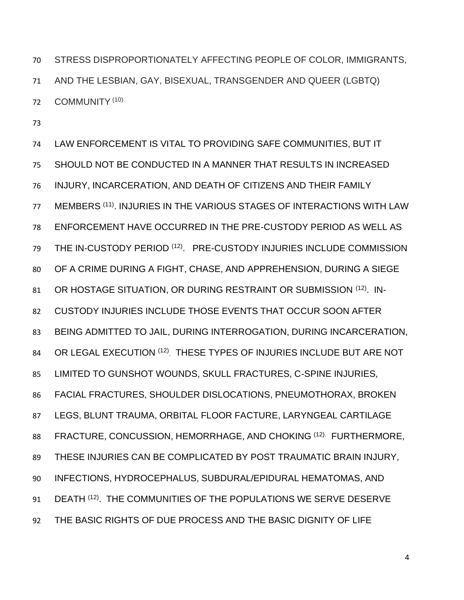STRESS DISPROPORTIONATELY AFFECTING PEOPLE OF COLOR, IMMIGRANTS, AND THE LESBIAN, GAY, BISEXUAL, TRANSGENDER AND QUEER (LGBTQ) 72 COMMUNITY (10).

 LAW ENFORCEMENT IS VITAL TO PROVIDING SAFE COMMUNITIES, BUT IT SHOULD NOT BE CONDUCTED IN A MANNER THAT RESULTS IN INCREASED INJURY, INCARCERATION, AND DEATH OF CITIZENS AND THEIR FAMILY 77 MEMBERS (11). INJURIES IN THE VARIOUS STAGES OF INTERACTIONS WITH LAW ENFORCEMENT HAVE OCCURRED IN THE PRE-CUSTODY PERIOD AS WELL AS 79 THE IN-CUSTODY PERIOD<sup>(12)</sup>. PRE-CUSTODY INJURIES INCLUDE COMMISSION OF A CRIME DURING A FIGHT, CHASE, AND APPREHENSION, DURING A SIEGE 81 OR HOSTAGE SITUATION, OR DURING RESTRAINT OR SUBMISSION (12). IN- CUSTODY INJURIES INCLUDE THOSE EVENTS THAT OCCUR SOON AFTER BEING ADMITTED TO JAIL, DURING INTERROGATION, DURING INCARCERATION, 84 OR LEGAL EXECUTION (12) THESE TYPES OF INJURIES INCLUDE BUT ARE NOT LIMITED TO GUNSHOT WOUNDS, SKULL FRACTURES, C-SPINE INJURIES, FACIAL FRACTURES, SHOULDER DISLOCATIONS, PNEUMOTHORAX, BROKEN LEGS, BLUNT TRAUMA, ORBITAL FLOOR FACTURE, LARYNGEAL CARTILAGE 88 FRACTURE, CONCUSSION, HEMORRHAGE, AND CHOKING (12). FURTHERMORE, THESE INJURIES CAN BE COMPLICATED BY POST TRAUMATIC BRAIN INJURY, INFECTIONS, HYDROCEPHALUS, SUBDURAL/EPIDURAL HEMATOMAS, AND 91 DEATH <sup>(12)</sup>. THE COMMUNITIES OF THE POPULATIONS WE SERVE DESERVE THE BASIC RIGHTS OF DUE PROCESS AND THE BASIC DIGNITY OF LIFE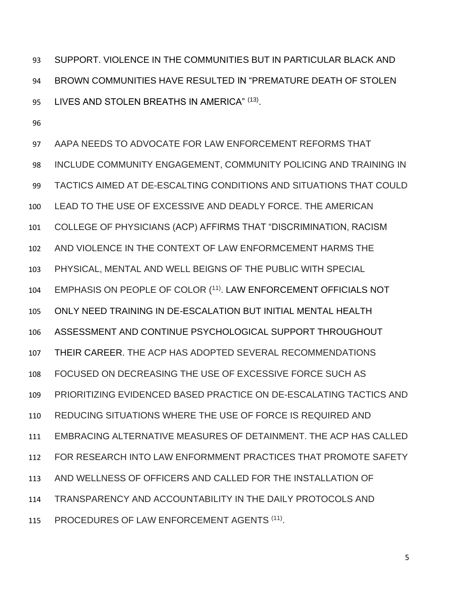SUPPORT. VIOLENCE IN THE COMMUNITIES BUT IN PARTICULAR BLACK AND BROWN COMMUNITIES HAVE RESULTED IN "PREMATURE DEATH OF STOLEN 95 LIVES AND STOLEN BREATHS IN AMERICA" (13).

 AAPA NEEDS TO ADVOCATE FOR LAW ENFORCEMENT REFORMS THAT INCLUDE COMMUNITY ENGAGEMENT, COMMUNITY POLICING AND TRAINING IN TACTICS AIMED AT DE-ESCALTING CONDITIONS AND SITUATIONS THAT COULD LEAD TO THE USE OF EXCESSIVE AND DEADLY FORCE. THE AMERICAN COLLEGE OF PHYSICIANS (ACP) AFFIRMS THAT "DISCRIMINATION, RACISM AND VIOLENCE IN THE CONTEXT OF LAW ENFORMCEMENT HARMS THE PHYSICAL, MENTAL AND WELL BEIGNS OF THE PUBLIC WITH SPECIAL 104 EMPHASIS ON PEOPLE OF COLOR (11). LAW ENFORCEMENT OFFICIALS NOT ONLY NEED TRAINING IN DE-ESCALATION BUT INITIAL MENTAL HEALTH ASSESSMENT AND CONTINUE PSYCHOLOGICAL SUPPORT THROUGHOUT THEIR CAREER. THE ACP HAS ADOPTED SEVERAL RECOMMENDATIONS FOCUSED ON DECREASING THE USE OF EXCESSIVE FORCE SUCH AS PRIORITIZING EVIDENCED BASED PRACTICE ON DE-ESCALATING TACTICS AND REDUCING SITUATIONS WHERE THE USE OF FORCE IS REQUIRED AND EMBRACING ALTERNATIVE MEASURES OF DETAINMENT. THE ACP HAS CALLED FOR RESEARCH INTO LAW ENFORMMENT PRACTICES THAT PROMOTE SAFETY AND WELLNESS OF OFFICERS AND CALLED FOR THE INSTALLATION OF TRANSPARENCY AND ACCOUNTABILITY IN THE DAILY PROTOCOLS AND 115 PROCEDURES OF LAW ENFORCEMENT AGENTS <sup>(11)</sup>.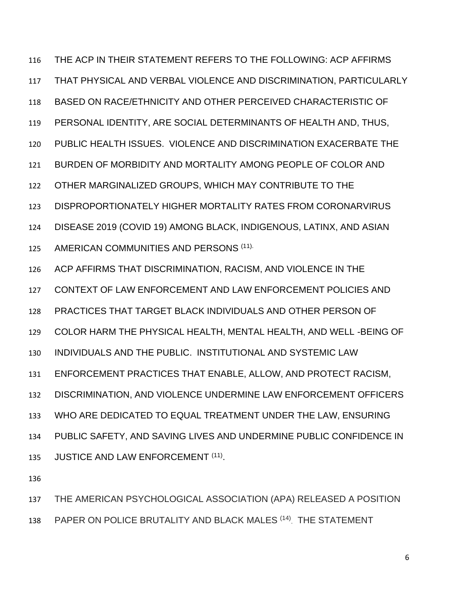THE ACP IN THEIR STATEMENT REFERS TO THE FOLLOWING: ACP AFFIRMS THAT PHYSICAL AND VERBAL VIOLENCE AND DISCRIMINATION, PARTICULARLY BASED ON RACE/ETHNICITY AND OTHER PERCEIVED CHARACTERISTIC OF PERSONAL IDENTITY, ARE SOCIAL DETERMINANTS OF HEALTH AND, THUS, PUBLIC HEALTH ISSUES. VIOLENCE AND DISCRIMINATION EXACERBATE THE BURDEN OF MORBIDITY AND MORTALITY AMONG PEOPLE OF COLOR AND OTHER MARGINALIZED GROUPS, WHICH MAY CONTRIBUTE TO THE DISPROPORTIONATELY HIGHER MORTALITY RATES FROM CORONARVIRUS DISEASE 2019 (COVID 19) AMONG BLACK, INDIGENOUS, LATINX, AND ASIAN 125 AMERICAN COMMUNITIES AND PERSONS (11). ACP AFFIRMS THAT DISCRIMINATION, RACISM, AND VIOLENCE IN THE CONTEXT OF LAW ENFORCEMENT AND LAW ENFORCEMENT POLICIES AND PRACTICES THAT TARGET BLACK INDIVIDUALS AND OTHER PERSON OF COLOR HARM THE PHYSICAL HEALTH, MENTAL HEALTH, AND WELL -BEING OF INDIVIDUALS AND THE PUBLIC. INSTITUTIONAL AND SYSTEMIC LAW ENFORCEMENT PRACTICES THAT ENABLE, ALLOW, AND PROTECT RACISM, DISCRIMINATION, AND VIOLENCE UNDERMINE LAW ENFORCEMENT OFFICERS WHO ARE DEDICATED TO EQUAL TREATMENT UNDER THE LAW, ENSURING PUBLIC SAFETY, AND SAVING LIVES AND UNDERMINE PUBLIC CONFIDENCE IN 135 JUSTICE AND LAW ENFORCEMENT <sup>(11)</sup>.

THE AMERICAN PSYCHOLOGICAL ASSOCIATION (APA) RELEASED A POSITION

138 PAPER ON POLICE BRUTALITY AND BLACK MALES (14) THE STATEMENT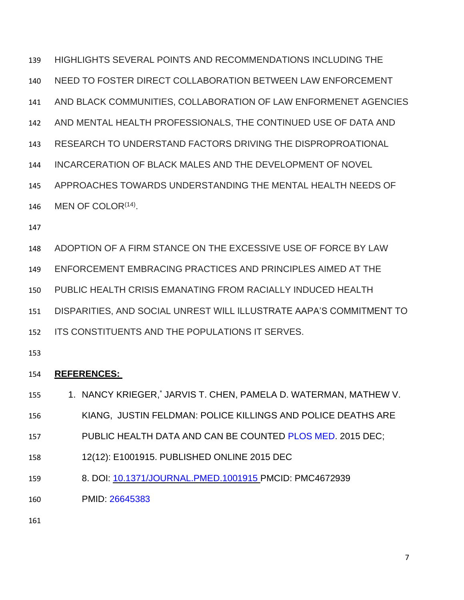HIGHLIGHTS SEVERAL POINTS AND RECOMMENDATIONS INCLUDING THE

- NEED TO FOSTER DIRECT COLLABORATION BETWEEN LAW ENFORCEMENT
- AND BLACK COMMUNITIES, COLLABORATION OF LAW ENFORMENET AGENCIES
- AND MENTAL HEALTH PROFESSIONALS, THE CONTINUED USE OF DATA AND
- RESEARCH TO UNDERSTAND FACTORS DRIVING THE DISPROPROATIONAL
- INCARCERATION OF BLACK MALES AND THE DEVELOPMENT OF NOVEL
- APPROACHES TOWARDS UNDERSTANDING THE MENTAL HEALTH NEEDS OF
- 146 MEN OF COLOR $(14)$ .
- 
- ADOPTION OF A FIRM STANCE ON THE EXCESSIVE USE OF FORCE BY LAW
- ENFORCEMENT EMBRACING PRACTICES AND PRINCIPLES AIMED AT THE
- PUBLIC HEALTH CRISIS EMANATING FROM RACIALLY INDUCED HEALTH
- DISPARITIES, AND SOCIAL UNREST WILL ILLUSTRATE AAPA'S COMMITMENT TO
- ITS CONSTITUENTS AND THE POPULATIONS IT SERVES.
- 

#### **REFERENCES:**

- 155 1. [NANCY KRIEGER,](https://www.ncbi.nlm.nih.gov/pubmed/?term=Krieger%20N%5BAuthor%5D&cauthor=true&cauthor_uid=26645383) [JARVIS T. CHEN,](https://www.ncbi.nlm.nih.gov/pubmed/?term=Chen%20JT%5BAuthor%5D&cauthor=true&cauthor_uid=26645383) [PAMELA D. WATERMAN,](https://www.ncbi.nlm.nih.gov/pubmed/?term=Waterman%20PD%5BAuthor%5D&cauthor=true&cauthor_uid=26645383) MATHEW V.
- [KIANG,](https://www.ncbi.nlm.nih.gov/pubmed/?term=Kiang%20MV%5BAuthor%5D&cauthor=true&cauthor_uid=26645383) [JUSTIN FELDMAN:](https://www.ncbi.nlm.nih.gov/pubmed/?term=Feldman%20J%5BAuthor%5D&cauthor=true&cauthor_uid=26645383) POLICE KILLINGS AND POLICE DEATHS ARE
- 157 PUBLIC HEALTH DATA AND CAN BE COUNTED [PLOS MED.](https://www.ncbi.nlm.nih.gov/pmc/articles/PMC4672939/) 2015 DEC;
- 12(12): E1001915. PUBLISHED ONLINE 2015 DEC
- 8. DOI: [10.1371/JOURNAL.PMED.1001915](https://dx.doi.org/10.1371%2Fjournal.pmed.1001915) PMCID: PMC4672939
- PMID: [26645383](https://www.ncbi.nlm.nih.gov/pubmed/26645383)
-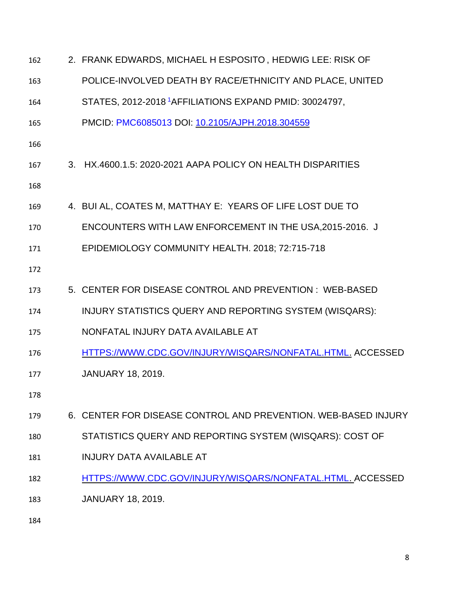| 162 | 2. FRANK EDWARDS, MICHAEL H ESPOSITO, HEDWIG LEE: RISK OF          |
|-----|--------------------------------------------------------------------|
| 163 | POLICE-INVOLVED DEATH BY RACE/ETHNICITY AND PLACE, UNITED          |
| 164 | STATES, 2012-2018 <sup>1</sup> AFFILIATIONS EXPAND PMID: 30024797, |
| 165 | PMCID: PMC6085013 DOI: 10.2105/AJPH.2018.304559                    |
| 166 |                                                                    |
| 167 | 3. HX.4600.1.5: 2020-2021 AAPA POLICY ON HEALTH DISPARITIES        |
| 168 |                                                                    |
| 169 | 4. BUI AL, COATES M, MATTHAY E: YEARS OF LIFE LOST DUE TO          |
| 170 | ENCOUNTERS WITH LAW ENFORCEMENT IN THE USA, 2015-2016. J           |
| 171 | EPIDEMIOLOGY COMMUNITY HEALTH. 2018; 72:715-718                    |
| 172 |                                                                    |
| 173 | 5. CENTER FOR DISEASE CONTROL AND PREVENTION: WEB-BASED            |
| 174 | INJURY STATISTICS QUERY AND REPORTING SYSTEM (WISQARS):            |
| 175 | NONFATAL INJURY DATA AVAILABLE AT                                  |
| 176 | HTTPS://WWW.CDC.GOV/INJURY/WISQARS/NONFATAL.HTML. ACCESSED         |
| 177 | <b>JANUARY 18, 2019.</b>                                           |
| 178 |                                                                    |
| 179 | 6. CENTER FOR DISEASE CONTROL AND PREVENTION, WEB-BASED INJURY     |
| 180 | STATISTICS QUERY AND REPORTING SYSTEM (WISQARS): COST OF           |
| 181 | <b>INJURY DATA AVAILABLE AT</b>                                    |
| 182 | HTTPS://WWW.CDC.GOV/INJURY/WISQARS/NONFATAL.HTML. ACCESSED         |
| 183 | <b>JANUARY 18, 2019.</b>                                           |
| 184 |                                                                    |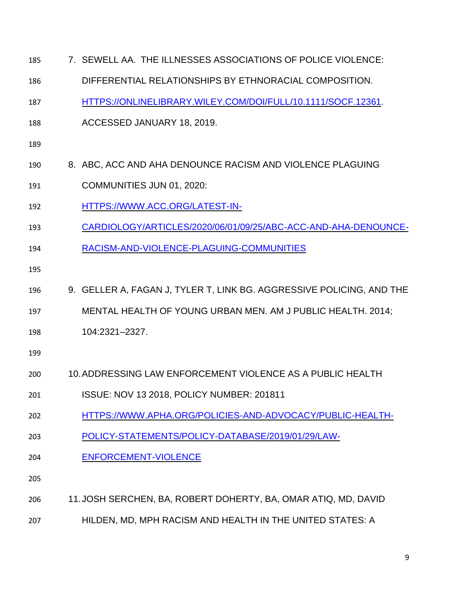| CARDIOLOGY/ARTICLES/2020/06/01/09/25/ABC-ACC-AND-AHA-DENOUNCE-       |
|----------------------------------------------------------------------|
|                                                                      |
|                                                                      |
| 9. GELLER A, FAGAN J, TYLER T, LINK BG. AGGRESSIVE POLICING, AND THE |
| MENTAL HEALTH OF YOUNG URBAN MEN. AM J PUBLIC HEALTH. 2014;          |
|                                                                      |
|                                                                      |
|                                                                      |
|                                                                      |
| HTTPS://WWW.APHA.ORG/POLICIES-AND-ADVOCACY/PUBLIC-HEALTH-            |
|                                                                      |
|                                                                      |
|                                                                      |
|                                                                      |
|                                                                      |
|                                                                      |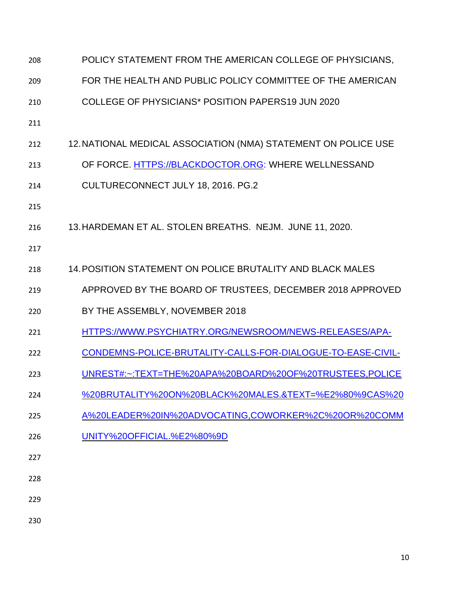| 208 | POLICY STATEMENT FROM THE AMERICAN COLLEGE OF PHYSICIANS,      |
|-----|----------------------------------------------------------------|
| 209 | FOR THE HEALTH AND PUBLIC POLICY COMMITTEE OF THE AMERICAN     |
| 210 | COLLEGE OF PHYSICIANS* POSITION PAPERS19 JUN 2020              |
| 211 |                                                                |
| 212 | 12. NATIONAL MEDICAL ASSOCIATION (NMA) STATEMENT ON POLICE USE |
| 213 | OF FORCE. HTTPS://BLACKDOCTOR.ORG: WHERE WELLNESSAND           |
| 214 | CULTURECONNECT JULY 18, 2016. PG.2                             |
| 215 |                                                                |
| 216 | 13. HARDEMAN ET AL. STOLEN BREATHS. NEJM. JUNE 11, 2020.       |
| 217 |                                                                |
| 218 | 14. POSITION STATEMENT ON POLICE BRUTALITY AND BLACK MALES     |
| 219 | APPROVED BY THE BOARD OF TRUSTEES, DECEMBER 2018 APPROVED      |
| 220 | BY THE ASSEMBLY, NOVEMBER 2018                                 |
| 221 | HTTPS://WWW.PSYCHIATRY.ORG/NEWSROOM/NEWS-RELEASES/APA-         |
| 222 |                                                                |
|     | CONDEMNS-POLICE-BRUTALITY-CALLS-FOR-DIALOGUE-TO-EASE-CIVIL-    |
| 223 | UNREST#:~:TEXT=THE%20APA%20BOARD%20OF%20TRUSTEES,POLICE        |
| 224 | %20BRUTALITY%20ON%20BLACK%20MALES.&TEXT=%E2%80%9CAS%20         |
| 225 | A%20LEADER%20IN%20ADVOCATING,COWORKER%2C%20OR%20COMM           |
| 226 | UNITY%20OFFICIAL.%E2%80%9D                                     |
| 227 |                                                                |
| 228 |                                                                |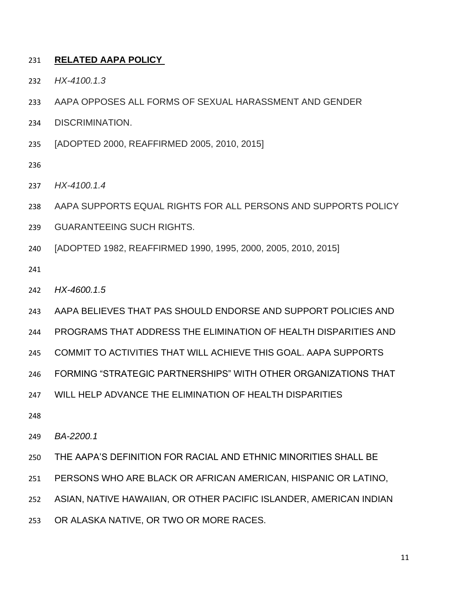#### **RELATED AAPA POLICY**

- *HX-4100.1.3*
- AAPA OPPOSES ALL FORMS OF SEXUAL HARASSMENT AND GENDER
- DISCRIMINATION.
- [ADOPTED 2000, REAFFIRMED 2005, 2010, 2015]
- 
- *HX-4100.1.4*
- AAPA SUPPORTS EQUAL RIGHTS FOR ALL PERSONS AND SUPPORTS POLICY
- GUARANTEEING SUCH RIGHTS.
- [ADOPTED 1982, REAFFIRMED 1990, 1995, 2000, 2005, 2010, 2015]
- 
- *HX-4600.1.5*
- AAPA BELIEVES THAT PAS SHOULD ENDORSE AND SUPPORT POLICIES AND
- PROGRAMS THAT ADDRESS THE ELIMINATION OF HEALTH DISPARITIES AND
- COMMIT TO ACTIVITIES THAT WILL ACHIEVE THIS GOAL. AAPA SUPPORTS
- FORMING "STRATEGIC PARTNERSHIPS" WITH OTHER ORGANIZATIONS THAT
- WILL HELP ADVANCE THE ELIMINATION OF HEALTH DISPARITIES
- 

*BA-2200.1*

- THE AAPA'S DEFINITION FOR RACIAL AND ETHNIC MINORITIES SHALL BE
- PERSONS WHO ARE BLACK OR AFRICAN AMERICAN, HISPANIC OR LATINO,
- ASIAN, NATIVE HAWAIIAN, OR OTHER PACIFIC ISLANDER, AMERICAN INDIAN
- OR ALASKA NATIVE, OR TWO OR MORE RACES.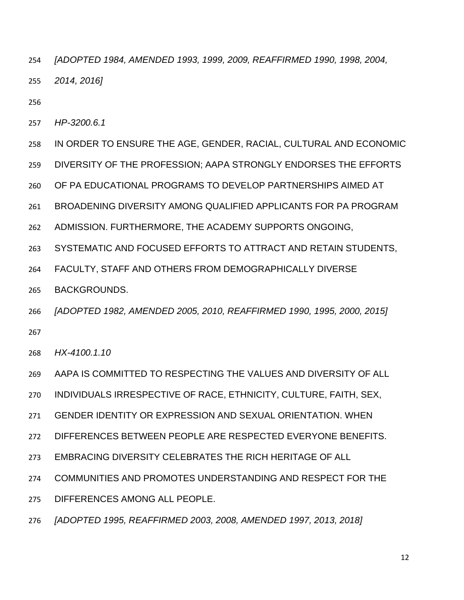- *[ADOPTED 1984, AMENDED 1993, 1999, 2009, REAFFIRMED 1990, 1998, 2004, 2014, 2016]*
- 
- *HP-3200.6.1*
- IN ORDER TO ENSURE THE AGE, GENDER, RACIAL, CULTURAL AND ECONOMIC
- DIVERSITY OF THE PROFESSION; AAPA STRONGLY ENDORSES THE EFFORTS
- OF PA EDUCATIONAL PROGRAMS TO DEVELOP PARTNERSHIPS AIMED AT
- BROADENING DIVERSITY AMONG QUALIFIED APPLICANTS FOR PA PROGRAM
- ADMISSION. FURTHERMORE, THE ACADEMY SUPPORTS ONGOING,
- SYSTEMATIC AND FOCUSED EFFORTS TO ATTRACT AND RETAIN STUDENTS,
- FACULTY, STAFF AND OTHERS FROM DEMOGRAPHICALLY DIVERSE
- BACKGROUNDS.
- *[ADOPTED 1982, AMENDED 2005, 2010, REAFFIRMED 1990, 1995, 2000, 2015]*
- *HX-4100.1.10*
- AAPA IS COMMITTED TO RESPECTING THE VALUES AND DIVERSITY OF ALL
- INDIVIDUALS IRRESPECTIVE OF RACE, ETHNICITY, CULTURE, FAITH, SEX,
- GENDER IDENTITY OR EXPRESSION AND SEXUAL ORIENTATION. WHEN
- DIFFERENCES BETWEEN PEOPLE ARE RESPECTED EVERYONE BENEFITS.
- EMBRACING DIVERSITY CELEBRATES THE RICH HERITAGE OF ALL
- COMMUNITIES AND PROMOTES UNDERSTANDING AND RESPECT FOR THE
- DIFFERENCES AMONG ALL PEOPLE.
- *[ADOPTED 1995, REAFFIRMED 2003, 2008, AMENDED 1997, 2013, 2018]*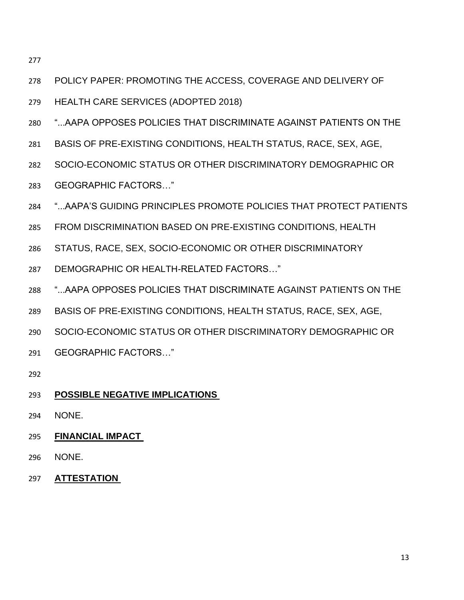- POLICY PAPER: PROMOTING THE ACCESS, COVERAGE AND DELIVERY OF
- HEALTH CARE SERVICES (ADOPTED 2018)
- "...AAPA OPPOSES POLICIES THAT DISCRIMINATE AGAINST PATIENTS ON THE
- BASIS OF PRE-EXISTING CONDITIONS, HEALTH STATUS, RACE, SEX, AGE,
- SOCIO-ECONOMIC STATUS OR OTHER DISCRIMINATORY DEMOGRAPHIC OR
- GEOGRAPHIC FACTORS…"
- "...AAPA'S GUIDING PRINCIPLES PROMOTE POLICIES THAT PROTECT PATIENTS
- FROM DISCRIMINATION BASED ON PRE-EXISTING CONDITIONS, HEALTH
- STATUS, RACE, SEX, SOCIO-ECONOMIC OR OTHER DISCRIMINATORY
- DEMOGRAPHIC OR HEALTH-RELATED FACTORS…"
- "...AAPA OPPOSES POLICIES THAT DISCRIMINATE AGAINST PATIENTS ON THE
- BASIS OF PRE-EXISTING CONDITIONS, HEALTH STATUS, RACE, SEX, AGE,
- SOCIO-ECONOMIC STATUS OR OTHER DISCRIMINATORY DEMOGRAPHIC OR
- GEOGRAPHIC FACTORS…"
- 
- **POSSIBLE NEGATIVE IMPLICATIONS**
- NONE.
- **FINANCIAL IMPACT**
- NONE.
- **ATTESTATION**